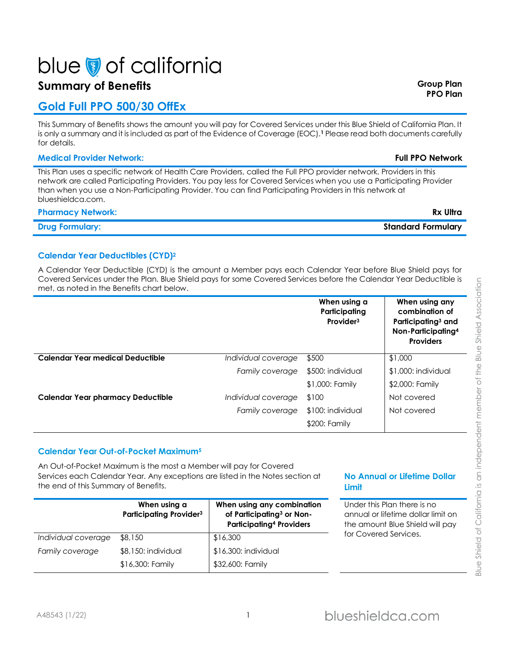# blue of california

# **Summary of Benefits Group Plan**

# **Gold Full PPO 500/30 OffEx**

This Summary of Benefits shows the amount you will pay for Covered Services under this Blue Shield of California Plan. It is only a summary and it is included as part of the Evidence of Coverage (EOC).**<sup>1</sup>** Please read both documents carefully for details.

| <b>Medical Provider Network:</b>                                                                                                                                                                                                                                                                                                                                           | <b>Full PPO Network</b> |
|----------------------------------------------------------------------------------------------------------------------------------------------------------------------------------------------------------------------------------------------------------------------------------------------------------------------------------------------------------------------------|-------------------------|
| This Plan uses a specific network of Health Care Providers, called the Full PPO provider network. Providers in this<br>network are called Participating Providers. You pay less for Covered Services when you use a Participating Provider<br>than when you use a Non-Participating Provider. You can find Participating Providers in this network at<br>blueshieldca.com. |                         |
| <b>Pharmacy Network:</b>                                                                                                                                                                                                                                                                                                                                                   | . Rx Ultra              |

**Drug Formulary: Standard Formulary**

# **Calendar Year Deductibles (CYD)<sup>2</sup>**

A Calendar Year Deductible (CYD) is the amount a Member pays each Calendar Year before Blue Shield pays for Covered Services under the Plan. Blue Shield pays for some Covered Services before the Calendar Year Deductible is met, as noted in the Benefits chart below.

|                                   |                     | When using a<br>Participating<br>Provider <sup>3</sup> | When using any<br>combination of<br>Participating <sup>3</sup> and<br>Non-Participating <sup>4</sup><br><b>Providers</b> |
|-----------------------------------|---------------------|--------------------------------------------------------|--------------------------------------------------------------------------------------------------------------------------|
| Calendar Year medical Deductible  | Individual coverage | \$500                                                  | \$1,000                                                                                                                  |
|                                   | Family coverage     | \$500: individual                                      | \$1,000: individual                                                                                                      |
|                                   |                     | \$1,000: Family                                        | \$2,000: Family                                                                                                          |
| Calendar Year pharmacy Deductible | Individual coverage | \$100                                                  | Not covered                                                                                                              |
|                                   | Family coverage     | \$100: individual                                      | Not covered                                                                                                              |
|                                   |                     | \$200: Family                                          |                                                                                                                          |

# **Calendar Year Out-of-Pocket Maximum<sup>5</sup>**

An Out-of-Pocket Maximum is the most a Member will pay for Covered Services each Calendar Year. Any exceptions are listed in the Notes section at the end of this Summary of Benefits.

|                     | When using a<br><b>Participating Provider3</b> | When using any combination<br>of Participating <sup>3</sup> or Non-<br><b>Participating4 Providers</b> |
|---------------------|------------------------------------------------|--------------------------------------------------------------------------------------------------------|
| Individual coverage | \$8,150                                        | \$16,300                                                                                               |
| Family coverage     | \$8,150: individual                            | \$16,300: individual                                                                                   |
|                     | \$16,300: Family                               | \$32,600: Family                                                                                       |

## **No Annual or Lifetime Dollar Limit**

Under this Plan there is no annual or lifetime dollar limit on the amount Blue Shield will pay for Covered Services.

**PPO Plan**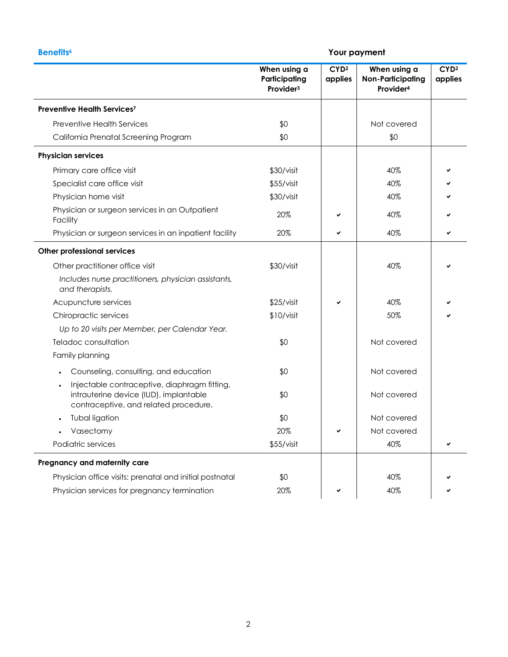|                                                                                                                                 | When using a<br>Participating<br>Provider <sup>3</sup> | CYD <sup>2</sup><br>applies | When using a<br><b>Non-Participating</b><br>Provider <sup>4</sup> | CYD <sup>2</sup><br>applies |
|---------------------------------------------------------------------------------------------------------------------------------|--------------------------------------------------------|-----------------------------|-------------------------------------------------------------------|-----------------------------|
| Preventive Health Services <sup>7</sup>                                                                                         |                                                        |                             |                                                                   |                             |
| <b>Preventive Health Services</b>                                                                                               | \$0                                                    |                             | Not covered                                                       |                             |
| California Prenatal Screening Program                                                                                           | \$0                                                    |                             | \$0                                                               |                             |
| <b>Physician services</b>                                                                                                       |                                                        |                             |                                                                   |                             |
| Primary care office visit                                                                                                       | \$30/visit                                             |                             | 40%                                                               |                             |
| Specialist care office visit                                                                                                    | \$55/visit                                             |                             | 40%                                                               |                             |
| Physician home visit                                                                                                            | \$30/visit                                             |                             | 40%                                                               |                             |
| Physician or surgeon services in an Outpatient<br>Facility                                                                      | 20%                                                    |                             | 40%                                                               |                             |
| Physician or surgeon services in an inpatient facility                                                                          | 20%                                                    | ✔                           | 40%                                                               |                             |
| Other professional services                                                                                                     |                                                        |                             |                                                                   |                             |
| Other practitioner office visit                                                                                                 | \$30/visit                                             |                             | 40%                                                               |                             |
| Includes nurse practitioners, physician assistants,<br>and therapists.                                                          |                                                        |                             |                                                                   |                             |
| Acupuncture services                                                                                                            | \$25/visit                                             |                             | 40%                                                               |                             |
| Chiropractic services                                                                                                           | \$10/visit                                             |                             | 50%                                                               |                             |
| Up to 20 visits per Member, per Calendar Year.                                                                                  |                                                        |                             |                                                                   |                             |
| Teladoc consultation                                                                                                            | \$0                                                    |                             | Not covered                                                       |                             |
| Family planning                                                                                                                 |                                                        |                             |                                                                   |                             |
| Counseling, consulting, and education                                                                                           | \$0                                                    |                             | Not covered                                                       |                             |
| Injectable contraceptive, diaphragm fitting,<br>intrauterine device (IUD), implantable<br>contraceptive, and related procedure. | \$0                                                    |                             | Not covered                                                       |                             |
| Tubal ligation<br>$\bullet$                                                                                                     | \$0                                                    |                             | Not covered                                                       |                             |
| Vasectomy                                                                                                                       | 20%                                                    |                             | Not covered                                                       |                             |
| Podiatric services                                                                                                              | \$55/visit                                             |                             | 40%                                                               | ✔                           |
| Pregnancy and maternity care                                                                                                    |                                                        |                             |                                                                   |                             |
| Physician office visits: prenatal and initial postnatal                                                                         | \$0                                                    |                             | 40%                                                               |                             |
| Physician services for pregnancy termination                                                                                    | 20%                                                    |                             | 40%                                                               |                             |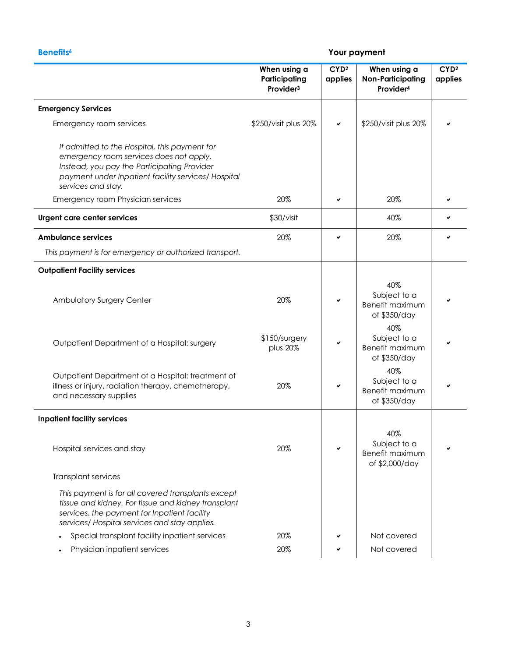|                                                                                                                                                                                                                      | When using a<br>Participating<br>Provider <sup>3</sup> | CYD <sup>2</sup><br>applies | When using a<br><b>Non-Participating</b><br>Provider <sup>4</sup> | CYD <sup>2</sup><br>applies |
|----------------------------------------------------------------------------------------------------------------------------------------------------------------------------------------------------------------------|--------------------------------------------------------|-----------------------------|-------------------------------------------------------------------|-----------------------------|
| <b>Emergency Services</b>                                                                                                                                                                                            |                                                        |                             |                                                                   |                             |
| Emergency room services                                                                                                                                                                                              | \$250/visit plus 20%                                   | ✔                           | \$250/visit plus 20%                                              |                             |
| If admitted to the Hospital, this payment for<br>emergency room services does not apply.<br>Instead, you pay the Participating Provider<br>payment under Inpatient facility services/ Hospital<br>services and stay. |                                                        |                             |                                                                   |                             |
| Emergency room Physician services                                                                                                                                                                                    | 20%                                                    | $\checkmark$                | 20%                                                               |                             |
| Urgent care center services                                                                                                                                                                                          | \$30/visit                                             |                             | 40%                                                               | ✔                           |
| <b>Ambulance services</b>                                                                                                                                                                                            | 20%                                                    | ✔                           | 20%                                                               | ✓                           |
| This payment is for emergency or authorized transport.                                                                                                                                                               |                                                        |                             |                                                                   |                             |
| <b>Outpatient Facility services</b>                                                                                                                                                                                  |                                                        |                             |                                                                   |                             |
| Ambulatory Surgery Center                                                                                                                                                                                            | 20%                                                    |                             | 40%<br>Subject to a<br>Benefit maximum<br>of \$350/day            |                             |
| Outpatient Department of a Hospital: surgery                                                                                                                                                                         | \$150/surgery<br>plus 20%                              |                             | 40%<br>Subject to a<br>Benefit maximum<br>of \$350/day            |                             |
| Outpatient Department of a Hospital: treatment of<br>illness or injury, radiation therapy, chemotherapy,<br>and necessary supplies                                                                                   | 20%                                                    |                             | 40%<br>Subject to a<br>Benefit maximum<br>of \$350/day            |                             |
| <b>Inpatient facility services</b>                                                                                                                                                                                   |                                                        |                             |                                                                   |                             |
| Hospital services and stay                                                                                                                                                                                           | 20%                                                    |                             | 40%<br>Subject to a<br>Benefit maximum<br>of \$2,000/day          |                             |
| Transplant services                                                                                                                                                                                                  |                                                        |                             |                                                                   |                             |
| This payment is for all covered transplants except<br>tissue and kidney. For tissue and kidney transplant<br>services, the payment for Inpatient facility<br>services/ Hospital services and stay applies.           |                                                        |                             |                                                                   |                             |
| Special transplant facility inpatient services                                                                                                                                                                       | 20%                                                    |                             | Not covered                                                       |                             |
| Physician inpatient services                                                                                                                                                                                         | 20%                                                    |                             | Not covered                                                       |                             |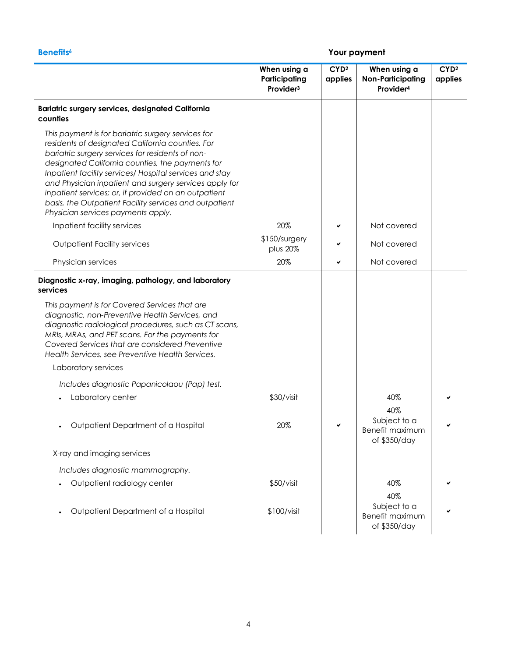|                                                                                                                                                                                                                                                                                                                                                                                                                                                                                             | When using a<br>Participating | CYD <sup>2</sup><br>applies | When using a<br><b>Non-Participating</b>               | CYD <sup>2</sup><br>applies |
|---------------------------------------------------------------------------------------------------------------------------------------------------------------------------------------------------------------------------------------------------------------------------------------------------------------------------------------------------------------------------------------------------------------------------------------------------------------------------------------------|-------------------------------|-----------------------------|--------------------------------------------------------|-----------------------------|
|                                                                                                                                                                                                                                                                                                                                                                                                                                                                                             | Provider <sup>3</sup>         |                             | Provider <sup>4</sup>                                  |                             |
| Bariatric surgery services, designated California<br>counties                                                                                                                                                                                                                                                                                                                                                                                                                               |                               |                             |                                                        |                             |
| This payment is for bariatric surgery services for<br>residents of designated California counties. For<br>bariatric surgery services for residents of non-<br>designated California counties, the payments for<br>Inpatient facility services/ Hospital services and stay<br>and Physician inpatient and surgery services apply for<br>inpatient services; or, if provided on an outpatient<br>basis, the Outpatient Facility services and outpatient<br>Physician services payments apply. |                               |                             |                                                        |                             |
| Inpatient facility services                                                                                                                                                                                                                                                                                                                                                                                                                                                                 | 20%                           |                             | Not covered                                            |                             |
| <b>Outpatient Facility services</b>                                                                                                                                                                                                                                                                                                                                                                                                                                                         | \$150/surgery<br>plus 20%     |                             | Not covered                                            |                             |
| Physician services                                                                                                                                                                                                                                                                                                                                                                                                                                                                          | 20%                           | ✔                           | Not covered                                            |                             |
| Diagnostic x-ray, imaging, pathology, and laboratory<br>services                                                                                                                                                                                                                                                                                                                                                                                                                            |                               |                             |                                                        |                             |
| This payment is for Covered Services that are<br>diagnostic, non-Preventive Health Services, and<br>diagnostic radiological procedures, such as CT scans,<br>MRIs, MRAs, and PET scans. For the payments for<br>Covered Services that are considered Preventive<br>Health Services, see Preventive Health Services.                                                                                                                                                                         |                               |                             |                                                        |                             |
| Laboratory services                                                                                                                                                                                                                                                                                                                                                                                                                                                                         |                               |                             |                                                        |                             |
| Includes diagnostic Papanicolaou (Pap) test.                                                                                                                                                                                                                                                                                                                                                                                                                                                |                               |                             |                                                        |                             |
| Laboratory center                                                                                                                                                                                                                                                                                                                                                                                                                                                                           | \$30/visit                    |                             | 40%                                                    |                             |
| Outpatient Department of a Hospital                                                                                                                                                                                                                                                                                                                                                                                                                                                         | 20%                           |                             | 40%<br>Subject to a<br>Benefit maximum<br>of \$350/day |                             |
| X-ray and imaging services                                                                                                                                                                                                                                                                                                                                                                                                                                                                  |                               |                             |                                                        |                             |
| Includes diagnostic mammography.                                                                                                                                                                                                                                                                                                                                                                                                                                                            |                               |                             |                                                        |                             |
| Outpatient radiology center                                                                                                                                                                                                                                                                                                                                                                                                                                                                 | \$50/visit                    |                             | 40%                                                    |                             |
| Outpatient Department of a Hospital                                                                                                                                                                                                                                                                                                                                                                                                                                                         | \$100/visit                   |                             | 40%<br>Subject to a<br>Benefit maximum<br>of \$350/day |                             |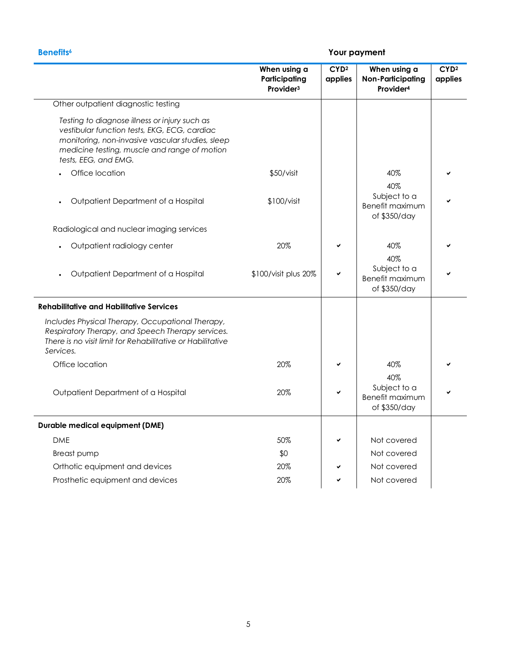|                                                                                                                                                                                                                           | When using a<br>Participating<br>Provider <sup>3</sup> | CYD <sup>2</sup><br>applies | When using a<br><b>Non-Participating</b><br>Provider <sup>4</sup> | CYD <sup>2</sup><br>applies |
|---------------------------------------------------------------------------------------------------------------------------------------------------------------------------------------------------------------------------|--------------------------------------------------------|-----------------------------|-------------------------------------------------------------------|-----------------------------|
| Other outpatient diagnostic testing                                                                                                                                                                                       |                                                        |                             |                                                                   |                             |
| Testing to diagnose illness or injury such as<br>vestibular function tests, EKG, ECG, cardiac<br>monitoring, non-invasive vascular studies, sleep<br>medicine testing, muscle and range of motion<br>tests, EEG, and EMG. |                                                        |                             |                                                                   |                             |
| Office location                                                                                                                                                                                                           | \$50/visit                                             |                             | 40%                                                               |                             |
| Outpatient Department of a Hospital                                                                                                                                                                                       | \$100/visit                                            |                             | 40%<br>Subject to a<br><b>Benefit maximum</b><br>of \$350/day     |                             |
| Radiological and nuclear imaging services                                                                                                                                                                                 |                                                        |                             |                                                                   |                             |
| Outpatient radiology center                                                                                                                                                                                               | 20%                                                    |                             | 40%                                                               |                             |
| Outpatient Department of a Hospital                                                                                                                                                                                       | \$100/visit plus 20%                                   |                             | 40%<br>Subject to a<br><b>Benefit maximum</b><br>of \$350/day     |                             |
| <b>Rehabilitative and Habilitative Services</b>                                                                                                                                                                           |                                                        |                             |                                                                   |                             |
| Includes Physical Therapy, Occupational Therapy,<br>Respiratory Therapy, and Speech Therapy services.<br>There is no visit limit for Rehabilitative or Habilitative<br>Services.                                          |                                                        |                             |                                                                   |                             |
| Office location                                                                                                                                                                                                           | 20%                                                    |                             | 40%                                                               |                             |
| Outpatient Department of a Hospital                                                                                                                                                                                       | 20%                                                    |                             | 40%<br>Subject to a<br>Benefit maximum<br>of \$350/day            |                             |
| <b>Durable medical equipment (DME)</b>                                                                                                                                                                                    |                                                        |                             |                                                                   |                             |
| <b>DME</b>                                                                                                                                                                                                                | 50%                                                    |                             | Not covered                                                       |                             |
| Breast pump                                                                                                                                                                                                               | \$0                                                    |                             | Not covered                                                       |                             |
| Orthotic equipment and devices                                                                                                                                                                                            | 20%                                                    |                             | Not covered                                                       |                             |
| Prosthetic equipment and devices                                                                                                                                                                                          | 20%                                                    |                             | Not covered                                                       |                             |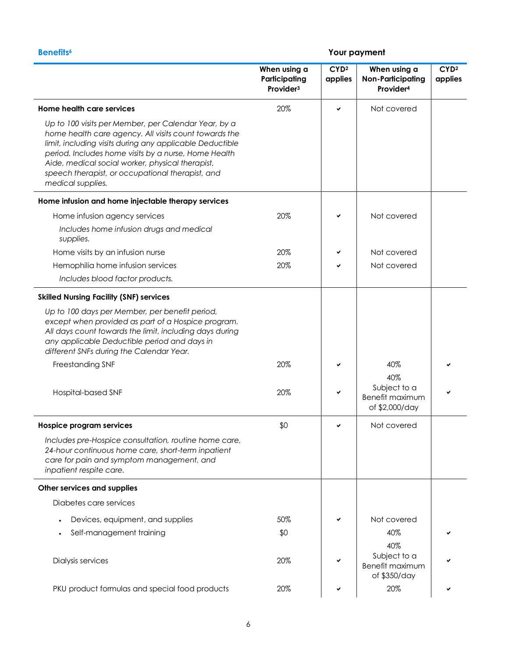|                                                                                                                                                                                                                                                                                                                                                                | When using a<br>Participating<br>Provider <sup>3</sup> | CYD <sup>2</sup><br>applies | When using a<br><b>Non-Participating</b><br>Provider <sup>4</sup> | CYD <sup>2</sup><br>applies |
|----------------------------------------------------------------------------------------------------------------------------------------------------------------------------------------------------------------------------------------------------------------------------------------------------------------------------------------------------------------|--------------------------------------------------------|-----------------------------|-------------------------------------------------------------------|-----------------------------|
| Home health care services                                                                                                                                                                                                                                                                                                                                      | 20%                                                    | $\checkmark$                | Not covered                                                       |                             |
| Up to 100 visits per Member, per Calendar Year, by a<br>home health care agency. All visits count towards the<br>limit, including visits during any applicable Deductible<br>period. Includes home visits by a nurse, Home Health<br>Aide, medical social worker, physical therapist,<br>speech therapist, or occupational therapist, and<br>medical supplies. |                                                        |                             |                                                                   |                             |
| Home infusion and home injectable therapy services                                                                                                                                                                                                                                                                                                             |                                                        |                             |                                                                   |                             |
| Home infusion agency services                                                                                                                                                                                                                                                                                                                                  | 20%                                                    | ✓                           | Not covered                                                       |                             |
| Includes home infusion drugs and medical<br>supplies.                                                                                                                                                                                                                                                                                                          |                                                        |                             |                                                                   |                             |
| Home visits by an infusion nurse                                                                                                                                                                                                                                                                                                                               | 20%                                                    |                             | Not covered                                                       |                             |
| Hemophilia home infusion services                                                                                                                                                                                                                                                                                                                              | 20%                                                    |                             | Not covered                                                       |                             |
| Includes blood factor products.                                                                                                                                                                                                                                                                                                                                |                                                        |                             |                                                                   |                             |
| <b>Skilled Nursing Facility (SNF) services</b>                                                                                                                                                                                                                                                                                                                 |                                                        |                             |                                                                   |                             |
| Up to 100 days per Member, per benefit period,<br>except when provided as part of a Hospice program.<br>All days count towards the limit, including days during<br>any applicable Deductible period and days in<br>different SNFs during the Calendar Year.                                                                                                    |                                                        |                             |                                                                   |                             |
| Freestanding SNF                                                                                                                                                                                                                                                                                                                                               | 20%                                                    |                             | 40%<br>40%                                                        |                             |
| Hospital-based SNF                                                                                                                                                                                                                                                                                                                                             | 20%                                                    |                             | Subject to a<br>Benefit maximum<br>of \$2,000/day                 |                             |
| Hospice program services                                                                                                                                                                                                                                                                                                                                       | \$0                                                    | ✓                           | Not covered                                                       |                             |
| Includes pre-Hospice consultation, routine home care,<br>24-hour continuous home care, short-term inpatient<br>care for pain and symptom management, and<br>inpatient respite care.                                                                                                                                                                            |                                                        |                             |                                                                   |                             |
| Other services and supplies                                                                                                                                                                                                                                                                                                                                    |                                                        |                             |                                                                   |                             |
| Diabetes care services                                                                                                                                                                                                                                                                                                                                         |                                                        |                             |                                                                   |                             |
| Devices, equipment, and supplies                                                                                                                                                                                                                                                                                                                               | 50%                                                    |                             | Not covered                                                       |                             |
| Self-management training                                                                                                                                                                                                                                                                                                                                       | \$0                                                    |                             | 40%                                                               |                             |
|                                                                                                                                                                                                                                                                                                                                                                |                                                        |                             | 40%                                                               |                             |
| Dialysis services                                                                                                                                                                                                                                                                                                                                              | 20%                                                    |                             | Subject to a<br>Benefit maximum<br>of \$350/day                   |                             |
| PKU product formulas and special food products                                                                                                                                                                                                                                                                                                                 | 20%                                                    |                             | 20%                                                               |                             |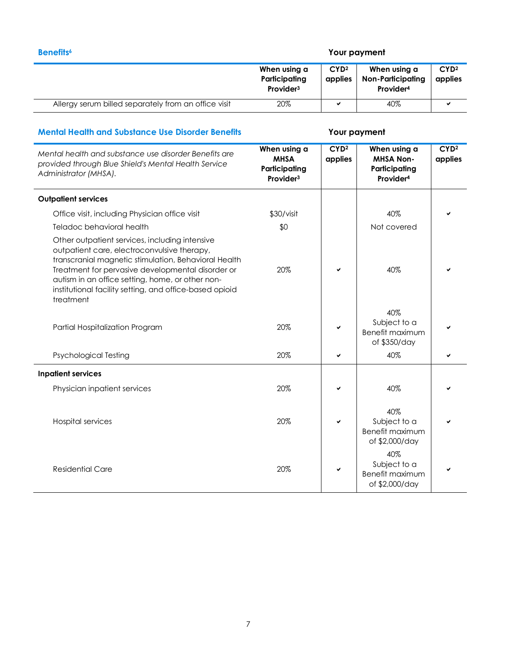|                                                      | When using a<br>Participating<br>Provider <sup>3</sup> | CYD <sup>2</sup><br>applies | When using a<br><b>Non-Participating</b><br>Provider <sup>4</sup> | CYD <sup>2</sup><br>applies |
|------------------------------------------------------|--------------------------------------------------------|-----------------------------|-------------------------------------------------------------------|-----------------------------|
| Allergy serum billed separately from an office visit | 20%                                                    | м                           | 40%                                                               |                             |

# **Mental Health and Substance Use Disorder Benefits Your payment**

| Mental health and substance use disorder Benefits are<br>provided through Blue Shield's Mental Health Service<br>Administrator (MHSA).                                                                                                                                                                                                 | When using a<br><b>MHSA</b><br>Participating<br>Provider <sup>3</sup> | CYD <sup>2</sup><br>applies | When using a<br><b>MHSA Non-</b><br>Participating<br>Provider <sup>4</sup> | CYD <sup>2</sup><br>applies |
|----------------------------------------------------------------------------------------------------------------------------------------------------------------------------------------------------------------------------------------------------------------------------------------------------------------------------------------|-----------------------------------------------------------------------|-----------------------------|----------------------------------------------------------------------------|-----------------------------|
| <b>Outpatient services</b>                                                                                                                                                                                                                                                                                                             |                                                                       |                             |                                                                            |                             |
| Office visit, including Physician office visit                                                                                                                                                                                                                                                                                         | \$30/visit                                                            |                             | 40%                                                                        |                             |
| Teladoc behavioral health                                                                                                                                                                                                                                                                                                              | \$0                                                                   |                             | Not covered                                                                |                             |
| Other outpatient services, including intensive<br>outpatient care, electroconvulsive therapy,<br>transcranial magnetic stimulation, Behavioral Health<br>Treatment for pervasive developmental disorder or<br>autism in an office setting, home, or other non-<br>institutional facility setting, and office-based opioid<br>treatment | 20%                                                                   |                             | 40%                                                                        |                             |
| Partial Hospitalization Program                                                                                                                                                                                                                                                                                                        | 20%                                                                   |                             | 40%<br>Subject to a<br><b>Benefit maximum</b><br>of \$350/day              |                             |
| <b>Psychological Testing</b>                                                                                                                                                                                                                                                                                                           | 20%                                                                   |                             | 40%                                                                        |                             |
| <b>Inpatient services</b>                                                                                                                                                                                                                                                                                                              |                                                                       |                             |                                                                            |                             |
| Physician inpatient services                                                                                                                                                                                                                                                                                                           | 20%                                                                   |                             | 40%                                                                        |                             |
| <b>Hospital services</b>                                                                                                                                                                                                                                                                                                               | 20%                                                                   |                             | 40%<br>Subject to a<br><b>Benefit maximum</b><br>of \$2,000/day            |                             |
| <b>Residential Care</b>                                                                                                                                                                                                                                                                                                                | 20%                                                                   |                             | 40%<br>Subject to a<br><b>Benefit maximum</b><br>of \$2,000/day            |                             |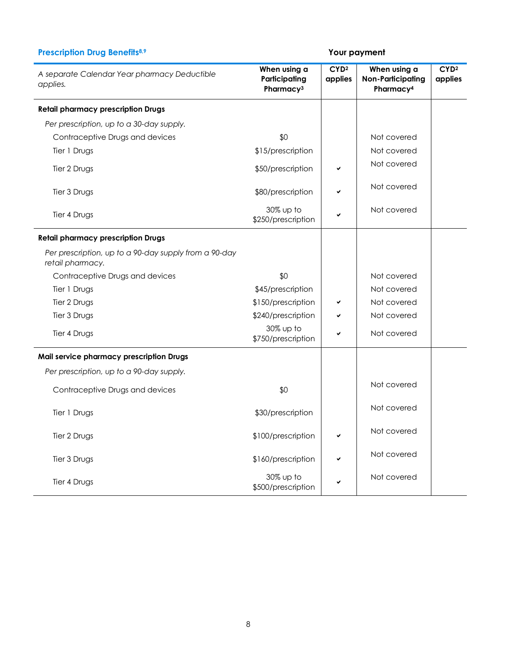| <b>Prescription Drug Benefits8,9</b>                                      | Your payment                                           |                             |                                                                   |                             |
|---------------------------------------------------------------------------|--------------------------------------------------------|-----------------------------|-------------------------------------------------------------------|-----------------------------|
| A separate Calendar Year pharmacy Deductible<br>applies.                  | When using a<br>Participating<br>Pharmacy <sup>3</sup> | CYD <sup>2</sup><br>applies | When using a<br><b>Non-Participating</b><br>Pharmacy <sup>4</sup> | CYD <sup>2</sup><br>applies |
| <b>Retail pharmacy prescription Drugs</b>                                 |                                                        |                             |                                                                   |                             |
| Per prescription, up to a 30-day supply.                                  |                                                        |                             |                                                                   |                             |
| Contraceptive Drugs and devices                                           | \$0                                                    |                             | Not covered                                                       |                             |
| Tier 1 Drugs                                                              | \$15/prescription                                      |                             | Not covered                                                       |                             |
| Tier 2 Drugs                                                              | \$50/prescription                                      | ✔                           | Not covered                                                       |                             |
| Tier 3 Drugs                                                              | \$80/prescription                                      | ✔                           | Not covered                                                       |                             |
| Tier 4 Drugs                                                              | 30% up to<br>\$250/prescription                        | ✓                           | Not covered                                                       |                             |
| <b>Retail pharmacy prescription Drugs</b>                                 |                                                        |                             |                                                                   |                             |
| Per prescription, up to a 90-day supply from a 90-day<br>retail pharmacy. |                                                        |                             |                                                                   |                             |
| Contraceptive Drugs and devices                                           | \$0                                                    |                             | Not covered                                                       |                             |
| Tier 1 Drugs                                                              | \$45/prescription                                      |                             | Not covered                                                       |                             |
| Tier 2 Drugs                                                              | \$150/prescription                                     | ✔                           | Not covered                                                       |                             |
| Tier 3 Drugs                                                              | \$240/prescription                                     | ✔                           | Not covered                                                       |                             |
| Tier 4 Drugs                                                              | 30% up to<br>\$750/prescription                        | ✔                           | Not covered                                                       |                             |
| Mail service pharmacy prescription Drugs                                  |                                                        |                             |                                                                   |                             |
| Per prescription, up to a 90-day supply.                                  |                                                        |                             |                                                                   |                             |
| Contraceptive Drugs and devices                                           | \$0                                                    |                             | Not covered                                                       |                             |
| Tier 1 Drugs                                                              | \$30/prescription                                      |                             | Not covered                                                       |                             |
| Tier 2 Drugs                                                              | \$100/prescription                                     | ✔                           | Not covered                                                       |                             |
| Tier 3 Drugs                                                              | \$160/prescription                                     | ✔                           | Not covered                                                       |                             |
| Tier 4 Drugs                                                              | 30% up to<br>\$500/prescription                        | ✔                           | Not covered                                                       |                             |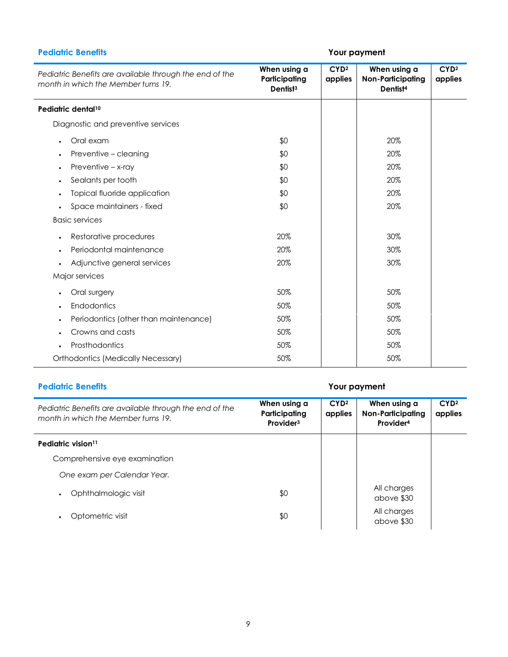| <b>Pediatric Benefits</b>                                                                      | Your payment                                          |                             |                                                                  |                             |
|------------------------------------------------------------------------------------------------|-------------------------------------------------------|-----------------------------|------------------------------------------------------------------|-----------------------------|
| Pediatric Benefits are available through the end of the<br>month in which the Member turns 19. | When using a<br>Participating<br>Dentist <sup>3</sup> | CYD <sup>2</sup><br>applies | When using a<br><b>Non-Participating</b><br>Dentist <sup>4</sup> | CYD <sup>2</sup><br>applies |
| Pediatric dental <sup>10</sup>                                                                 |                                                       |                             |                                                                  |                             |
| Diagnostic and preventive services                                                             |                                                       |                             |                                                                  |                             |
| Oral exam<br>$\bullet$                                                                         | \$0                                                   |                             | 20%                                                              |                             |
| Preventive - cleaning<br>$\bullet$                                                             | \$0                                                   |                             | 20%                                                              |                             |
| Preventive - x-ray<br>$\bullet$                                                                | \$0                                                   |                             | 20%                                                              |                             |
| Sealants per tooth                                                                             | \$0                                                   |                             | 20%                                                              |                             |
| Topical fluoride application<br>$\bullet$                                                      | \$0                                                   |                             | 20%                                                              |                             |
| Space maintainers - fixed                                                                      | \$0                                                   |                             | 20%                                                              |                             |
| <b>Basic services</b>                                                                          |                                                       |                             |                                                                  |                             |
| Restorative procedures<br>$\bullet$                                                            | 20%                                                   |                             | 30%                                                              |                             |
| Periodontal maintenance                                                                        | 20%                                                   |                             | 30%                                                              |                             |
| Adjunctive general services<br>$\bullet$                                                       | 20%                                                   |                             | 30%                                                              |                             |
| Major services                                                                                 |                                                       |                             |                                                                  |                             |
| Oral surgery<br>$\bullet$                                                                      | 50%                                                   |                             | 50%                                                              |                             |
| Endodontics<br>$\bullet$                                                                       | 50%                                                   |                             | 50%                                                              |                             |
| Periodontics (other than maintenance)<br>$\bullet$                                             | 50%                                                   |                             | 50%                                                              |                             |
| Crowns and casts                                                                               | 50%                                                   |                             | 50%                                                              |                             |
| Prosthodontics                                                                                 | 50%                                                   |                             | 50%                                                              |                             |
| <b>Orthodontics (Medically Necessary)</b>                                                      | 50%                                                   |                             | 50%                                                              |                             |

# **Pediatric Benefits Your payment**

| Pediatric Benefits are available through the end of the<br>month in which the Member turns 19. | When using a<br>Participating<br>Provider <sup>3</sup> | CYD <sup>2</sup><br>applies | When using a<br><b>Non-Participating</b><br>Provider <sup>4</sup> | CYD <sup>2</sup><br>applies |
|------------------------------------------------------------------------------------------------|--------------------------------------------------------|-----------------------------|-------------------------------------------------------------------|-----------------------------|
| Pediatric vision <sup>11</sup>                                                                 |                                                        |                             |                                                                   |                             |
| Comprehensive eye examination                                                                  |                                                        |                             |                                                                   |                             |
| One exam per Calendar Year.                                                                    |                                                        |                             |                                                                   |                             |
| Ophthalmologic visit<br>$\bullet$                                                              | \$0                                                    |                             | All charges<br>above \$30                                         |                             |
| Optometric visit<br>$\bullet$                                                                  | \$0                                                    |                             | All charges<br>above \$30                                         |                             |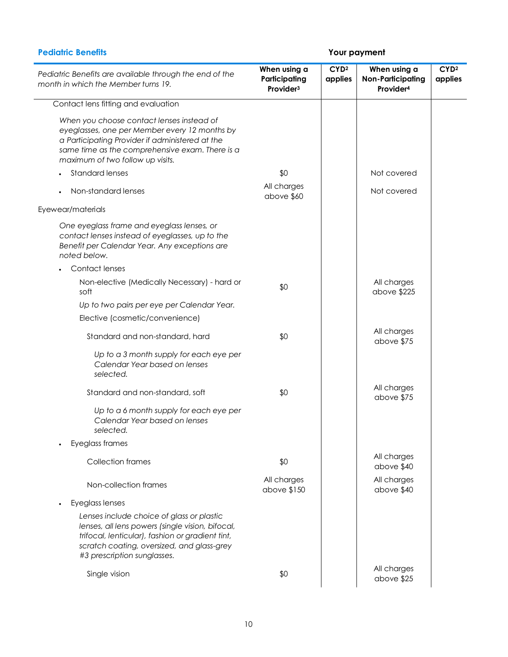| <b>Pediatric Benefits</b>                                                                                                                                                                                                            | Your payment                                           |                             |                                                                   |                             |
|--------------------------------------------------------------------------------------------------------------------------------------------------------------------------------------------------------------------------------------|--------------------------------------------------------|-----------------------------|-------------------------------------------------------------------|-----------------------------|
| Pediatric Benefits are available through the end of the<br>month in which the Member turns 19.                                                                                                                                       | When using a<br>Participating<br>Provider <sup>3</sup> | CYD <sup>2</sup><br>applies | When using a<br><b>Non-Participating</b><br>Provider <sup>4</sup> | CYD <sup>2</sup><br>applies |
| Contact lens fitting and evaluation                                                                                                                                                                                                  |                                                        |                             |                                                                   |                             |
| When you choose contact lenses instead of<br>eyeglasses, one per Member every 12 months by<br>a Participating Provider if administered at the<br>same time as the comprehensive exam. There is a<br>maximum of two follow up visits. |                                                        |                             |                                                                   |                             |
| <b>Standard lenses</b>                                                                                                                                                                                                               | \$0                                                    |                             | Not covered                                                       |                             |
| Non-standard lenses                                                                                                                                                                                                                  | All charges<br>above \$60                              |                             | Not covered                                                       |                             |
| Eyewear/materials                                                                                                                                                                                                                    |                                                        |                             |                                                                   |                             |
| One eyeglass frame and eyeglass lenses, or<br>contact lenses instead of eyeglasses, up to the<br>Benefit per Calendar Year. Any exceptions are<br>noted below.                                                                       |                                                        |                             |                                                                   |                             |
| Contact lenses                                                                                                                                                                                                                       |                                                        |                             |                                                                   |                             |
| Non-elective (Medically Necessary) - hard or<br>soft                                                                                                                                                                                 | \$0                                                    |                             | All charges<br>above \$225                                        |                             |
| Up to two pairs per eye per Calendar Year.                                                                                                                                                                                           |                                                        |                             |                                                                   |                             |
| Elective (cosmetic/convenience)                                                                                                                                                                                                      |                                                        |                             |                                                                   |                             |
| Standard and non-standard, hard                                                                                                                                                                                                      | \$0                                                    |                             | All charges<br>above \$75                                         |                             |
| Up to a 3 month supply for each eye per<br>Calendar Year based on lenses<br>selected.                                                                                                                                                |                                                        |                             |                                                                   |                             |
| Standard and non-standard, soft                                                                                                                                                                                                      | \$0                                                    |                             | All charges<br>above \$75                                         |                             |
| Up to a 6 month supply for each eye per<br>Calendar Year based on lenses<br>selected.                                                                                                                                                |                                                        |                             |                                                                   |                             |
| Eyeglass frames                                                                                                                                                                                                                      |                                                        |                             |                                                                   |                             |
| Collection frames                                                                                                                                                                                                                    | \$0                                                    |                             | All charges<br>above \$40                                         |                             |
| Non-collection frames                                                                                                                                                                                                                | All charges<br>above \$150                             |                             | All charges<br>above \$40                                         |                             |
| Eyeglass lenses                                                                                                                                                                                                                      |                                                        |                             |                                                                   |                             |
| Lenses include choice of glass or plastic<br>lenses, all lens powers (single vision, bifocal,<br>trifocal, lenticular), fashion or gradient tint,<br>scratch coating, oversized, and glass-grey<br>#3 prescription sunglasses.       |                                                        |                             |                                                                   |                             |
| Single vision                                                                                                                                                                                                                        | \$0                                                    |                             | All charges<br>above \$25                                         |                             |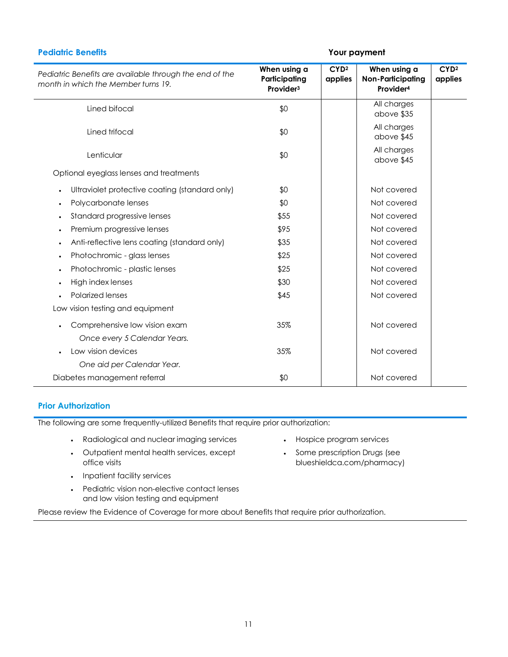| <b>Pediatric Benefits</b>                                                                      | Your payment                                           |                             |                                                                   |                             |
|------------------------------------------------------------------------------------------------|--------------------------------------------------------|-----------------------------|-------------------------------------------------------------------|-----------------------------|
| Pediatric Benefits are available through the end of the<br>month in which the Member turns 19. | When using a<br>Participating<br>Provider <sup>3</sup> | CYD <sup>2</sup><br>applies | When using a<br><b>Non-Participating</b><br>Provider <sup>4</sup> | CYD <sup>2</sup><br>applies |
| Lined bifocal                                                                                  | \$0                                                    |                             | All charges<br>above \$35                                         |                             |
| Lined trifocal                                                                                 | \$0                                                    |                             | All charges<br>above \$45                                         |                             |
| Lenticular                                                                                     | \$0                                                    |                             | All charges<br>above \$45                                         |                             |
| Optional eyeglass lenses and treatments                                                        |                                                        |                             |                                                                   |                             |
| Ultraviolet protective coating (standard only)<br>$\bullet$                                    | \$0                                                    |                             | Not covered                                                       |                             |
| Polycarbonate lenses<br>$\bullet$                                                              | \$0                                                    |                             | Not covered                                                       |                             |
| Standard progressive lenses                                                                    | \$55                                                   |                             | Not covered                                                       |                             |
| Premium progressive lenses                                                                     | \$95                                                   |                             | Not covered                                                       |                             |
| Anti-reflective lens coating (standard only)<br>$\bullet$                                      | \$35                                                   |                             | Not covered                                                       |                             |
| Photochromic - glass lenses<br>$\bullet$                                                       | \$25                                                   |                             | Not covered                                                       |                             |
| Photochromic - plastic lenses<br>$\bullet$                                                     | \$25                                                   |                             | Not covered                                                       |                             |
| High index lenses                                                                              | \$30                                                   |                             | Not covered                                                       |                             |
| <b>Polarized lenses</b>                                                                        | \$45                                                   |                             | Not covered                                                       |                             |
| Low vision testing and equipment                                                               |                                                        |                             |                                                                   |                             |
| Comprehensive low vision exam                                                                  | 35%                                                    |                             | Not covered                                                       |                             |
| Once every 5 Calendar Years.                                                                   |                                                        |                             |                                                                   |                             |
| Low vision devices                                                                             | 35%                                                    |                             | Not covered                                                       |                             |
| One aid per Calendar Year.                                                                     |                                                        |                             |                                                                   |                             |
| Diabetes management referral                                                                   | \$0                                                    |                             | Not covered                                                       |                             |

# **Prior Authorization**

The following are some frequently-utilized Benefits that require prior authorization:

- Radiological and nuclear imaging services Hospice program services
- Outpatient mental health services, except office visits
- Inpatient facility services
- Pediatric vision non-elective contact lenses and low vision testing and equipment
- Some prescription Drugs (see
	- blueshieldca.com/pharmacy)

Please review the Evidence of Coverage for more about Benefits that require prior authorization.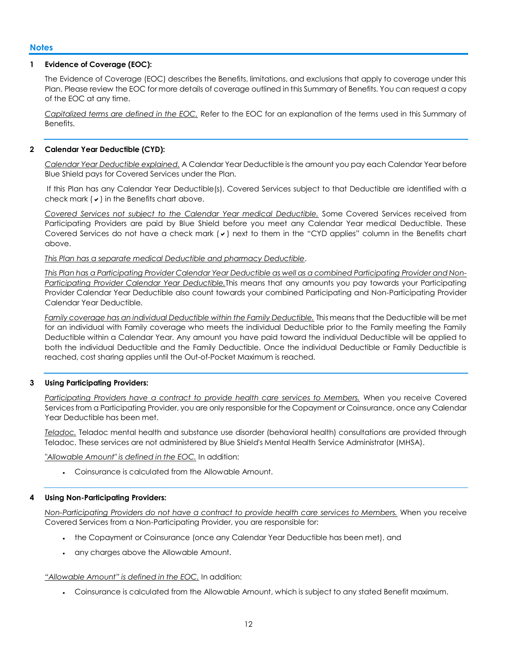### **1 Evidence of Coverage (EOC):**

The Evidence of Coverage (EOC) describes the Benefits, limitations, and exclusions that apply to coverage under this Plan. Please review the EOC for more details of coverage outlined in this Summary of Benefits. You can request a copy of the EOC at any time.

*Capitalized terms are defined in the EOC.* Refer to the EOC for an explanation of the terms used in this Summary of Benefits.

### **2 Calendar Year Deductible (CYD):**

*Calendar Year Deductible explained.* A Calendar Year Deductible is the amount you pay each Calendar Year before Blue Shield pays for Covered Services under the Plan.

If this Plan has any Calendar Year Deductible(s), Covered Services subject to that Deductible are identified with a check mark  $(v)$  in the Benefits chart above.

*Covered Services not subject to the Calendar Year medical Deductible.* Some Covered Services received from Participating Providers are paid by Blue Shield before you meet any Calendar Year medical Deductible. These Covered Services do not have a check mark  $(v)$  next to them in the "CYD applies" column in the Benefits chart above.

*This Plan has a separate medical Deductible and pharmacy Deductible*.

*This Plan has a Participating Provider Calendar Year Deductible as well as a combined Participating Provider and Non-Participating Provider Calendar Year Deductible.*This means that any amounts you pay towards your Participating Provider Calendar Year Deductible also count towards your combined Participating and Non-Participating Provider Calendar Year Deductible.

*Family coverage has an individual Deductible within the Family Deductible.* This means that the Deductible will be met for an individual with Family coverage who meets the individual Deductible prior to the Family meeting the Family Deductible within a Calendar Year. Any amount you have paid toward the individual Deductible will be applied to both the individual Deductible and the Family Deductible. Once the individual Deductible or Family Deductible is reached, cost sharing applies until the Out-of-Pocket Maximum is reached.

### **3 Using Participating Providers:**

*Participating Providers have a contract to provide health care services to Members.* When you receive Covered Services from a Participating Provider, you are only responsible for the Copayment or Coinsurance, once any Calendar Year Deductible has been met.

*Teladoc.* Teladoc mental health and substance use disorder (behavioral health) consultations are provided through Teladoc. These services are not administered by Blue Shield's Mental Health Service Administrator (MHSA).

*"Allowable Amount" is defined in the EOC.* In addition:

Coinsurance is calculated from the Allowable Amount.

### **4 Using Non-Participating Providers:**

*Non-Participating Providers do not have a contract to provide health care services to Members.* When you receive Covered Services from a Non-Participating Provider, you are responsible for:

- the Copayment or Coinsurance (once any Calendar Year Deductible has been met), and
- any charges above the Allowable Amount.

*"Allowable Amount" is defined in the EOC.* In addition:

Coinsurance is calculated from the Allowable Amount, which is subject to any stated Benefit maximum.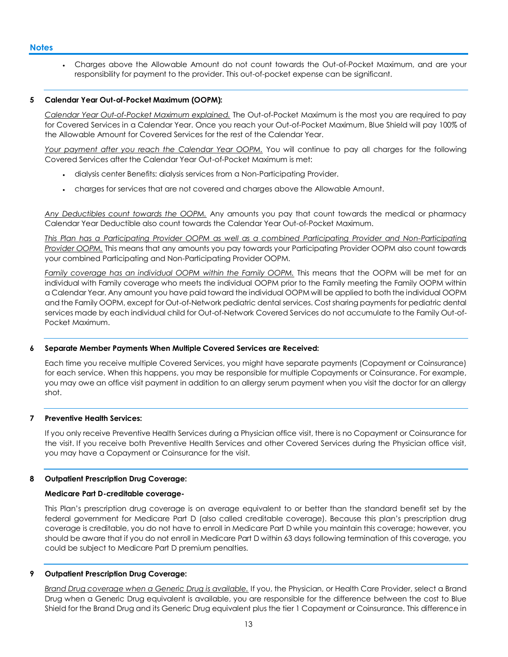#### **Notes**

 Charges above the Allowable Amount do not count towards the Out-of-Pocket Maximum, and are your responsibility for payment to the provider. This out-of-pocket expense can be significant.

#### **5 Calendar Year Out-of-Pocket Maximum (OOPM):**

*Calendar Year Out-of-Pocket Maximum explained.* The Out-of-Pocket Maximum is the most you are required to pay for Covered Services in a Calendar Year. Once you reach your Out-of-Pocket Maximum, Blue Shield will pay 100% of the Allowable Amount for Covered Services for the rest of the Calendar Year.

Your payment after you reach the Calendar Year OOPM. You will continue to pay all charges for the following Covered Services after the Calendar Year Out-of-Pocket Maximum is met:

- dialysis center Benefits: dialysis services from a Non-Participating Provider.
- charges for services that are not covered and charges above the Allowable Amount.

*Any Deductibles count towards the OOPM.* Any amounts you pay that count towards the medical or pharmacy Calendar Year Deductible also count towards the Calendar Year Out-of-Pocket Maximum.

*This Plan has a Participating Provider OOPM as well as a combined Participating Provider and Non-Participating Provider OOPM.* This means that any amounts you pay towards your Participating Provider OOPM also count towards your combined Participating and Non-Participating Provider OOPM.

*Family coverage has an individual OOPM within the Family OOPM.* This means that the OOPM will be met for an individual with Family coverage who meets the individual OOPM prior to the Family meeting the Family OOPM within a Calendar Year. Any amount you have paid toward the individual OOPM will be applied to both the individual OOPM and the Family OOPM, except for Out-of-Network pediatric dental services. Cost sharing payments for pediatric dental services made by each individual child for Out-of-Network Covered Services do not accumulate to the Family Out-of-Pocket Maximum.

### **6 Separate Member Payments When Multiple Covered Services are Received:**

Each time you receive multiple Covered Services, you might have separate payments (Copayment or Coinsurance) for each service. When this happens, you may be responsible for multiple Copayments or Coinsurance. For example, you may owe an office visit payment in addition to an allergy serum payment when you visit the doctor for an allergy shot.

### **7 Preventive Health Services:**

If you only receive Preventive Health Services during a Physician office visit, there is no Copayment or Coinsurance for the visit. If you receive both Preventive Health Services and other Covered Services during the Physician office visit, you may have a Copayment or Coinsurance for the visit.

### **8 Outpatient Prescription Drug Coverage:**

#### **Medicare Part D-creditable coverage-**

This Plan's prescription drug coverage is on average equivalent to or better than the standard benefit set by the federal government for Medicare Part D (also called creditable coverage). Because this plan's prescription drug coverage is creditable, you do not have to enroll in Medicare Part D while you maintain this coverage; however, you should be aware that if you do not enroll in Medicare Part D within 63 days following termination of this coverage, you could be subject to Medicare Part D premium penalties.

### **9 Outpatient Prescription Drug Coverage:**

*Brand Drug coverage when a Generic Drug is available.* If you, the Physician, or Health Care Provider, select a Brand Drug when a Generic Drug equivalent is available, you are responsible for the difference between the cost to Blue Shield for the Brand Drug and its Generic Drug equivalent plus the tier 1 Copayment or Coinsurance. This difference in